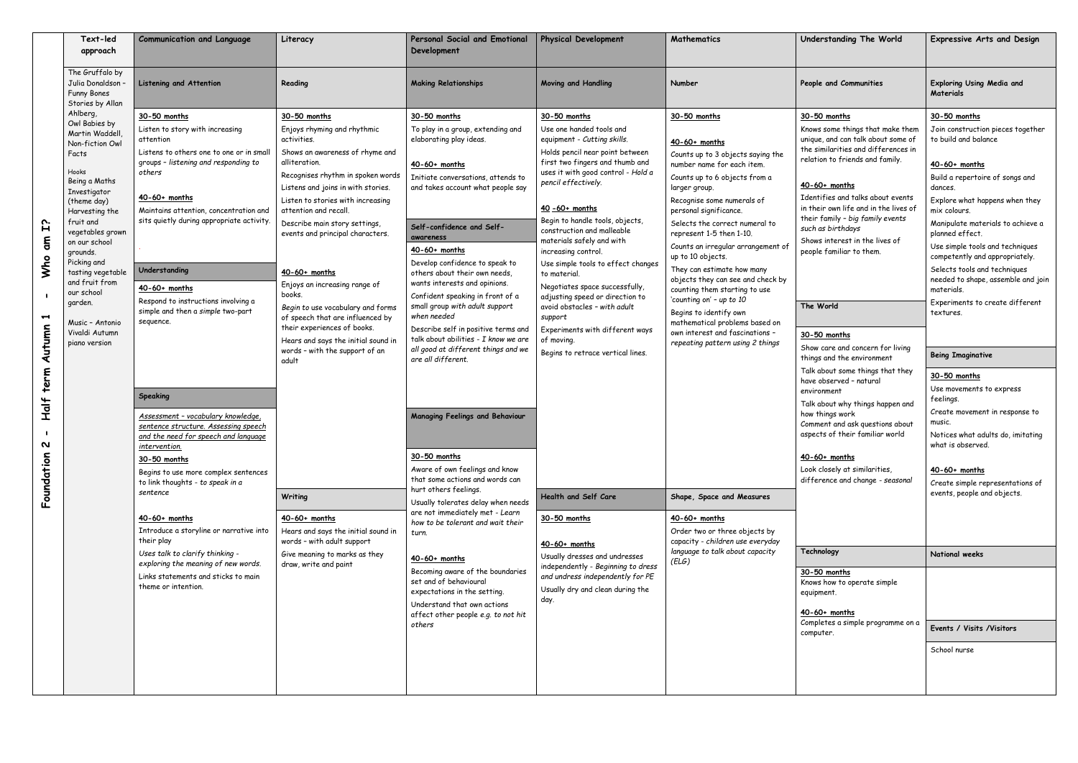|                                                                                                             | Text-led<br>approach                                                                                                                                                                                                                                                                                                                                  | <b>Communication and Language</b>                                                                                                                                                                                                                                                                                                                                                                                                                                                                                                                                                                                                                                                                                                                                                                                                                                                | Literacy                                                                                                                                                                                                                                                                                                                                                                                                                                                                                                                                                                                                                                                                                                                                         | <b>Personal Social and Emotional</b><br>Development                                                                                                                                                                                                                                                                                                                                                                                                                                                                                                                                                                                                                                                                                                                                                                                                                                                                                                                                                                                                          | <b>Physical Development</b>                                                                                                                                                                                                                                                                                                                                                                                                                                                                                                                                                                                                                                                                                                                                                                                                         | <b>Mathematics</b>                                                                                                                                                                                                                                                                                                                                                                                                                                                                                                                                                                                                                                                                                                                                                        | Understanding The World                                                                                                                                                                                                                                                                                                                                                                                                                                                                                                                                                                                                                                                                                                                                                                                                                                                                                                                    | <b>Expressive Arts and Design</b>                                                                                                                                                                                                                                                                                                                                                                                                                                                                                                                                                                                                                                                                                                                                                             |
|-------------------------------------------------------------------------------------------------------------|-------------------------------------------------------------------------------------------------------------------------------------------------------------------------------------------------------------------------------------------------------------------------------------------------------------------------------------------------------|----------------------------------------------------------------------------------------------------------------------------------------------------------------------------------------------------------------------------------------------------------------------------------------------------------------------------------------------------------------------------------------------------------------------------------------------------------------------------------------------------------------------------------------------------------------------------------------------------------------------------------------------------------------------------------------------------------------------------------------------------------------------------------------------------------------------------------------------------------------------------------|--------------------------------------------------------------------------------------------------------------------------------------------------------------------------------------------------------------------------------------------------------------------------------------------------------------------------------------------------------------------------------------------------------------------------------------------------------------------------------------------------------------------------------------------------------------------------------------------------------------------------------------------------------------------------------------------------------------------------------------------------|--------------------------------------------------------------------------------------------------------------------------------------------------------------------------------------------------------------------------------------------------------------------------------------------------------------------------------------------------------------------------------------------------------------------------------------------------------------------------------------------------------------------------------------------------------------------------------------------------------------------------------------------------------------------------------------------------------------------------------------------------------------------------------------------------------------------------------------------------------------------------------------------------------------------------------------------------------------------------------------------------------------------------------------------------------------|-------------------------------------------------------------------------------------------------------------------------------------------------------------------------------------------------------------------------------------------------------------------------------------------------------------------------------------------------------------------------------------------------------------------------------------------------------------------------------------------------------------------------------------------------------------------------------------------------------------------------------------------------------------------------------------------------------------------------------------------------------------------------------------------------------------------------------------|---------------------------------------------------------------------------------------------------------------------------------------------------------------------------------------------------------------------------------------------------------------------------------------------------------------------------------------------------------------------------------------------------------------------------------------------------------------------------------------------------------------------------------------------------------------------------------------------------------------------------------------------------------------------------------------------------------------------------------------------------------------------------|--------------------------------------------------------------------------------------------------------------------------------------------------------------------------------------------------------------------------------------------------------------------------------------------------------------------------------------------------------------------------------------------------------------------------------------------------------------------------------------------------------------------------------------------------------------------------------------------------------------------------------------------------------------------------------------------------------------------------------------------------------------------------------------------------------------------------------------------------------------------------------------------------------------------------------------------|-----------------------------------------------------------------------------------------------------------------------------------------------------------------------------------------------------------------------------------------------------------------------------------------------------------------------------------------------------------------------------------------------------------------------------------------------------------------------------------------------------------------------------------------------------------------------------------------------------------------------------------------------------------------------------------------------------------------------------------------------------------------------------------------------|
|                                                                                                             | The Gruffalo by<br>Julia Donaldson<br>Funny Bones<br>Stories by Allan                                                                                                                                                                                                                                                                                 | <b>Listening and Attention</b>                                                                                                                                                                                                                                                                                                                                                                                                                                                                                                                                                                                                                                                                                                                                                                                                                                                   | Reading                                                                                                                                                                                                                                                                                                                                                                                                                                                                                                                                                                                                                                                                                                                                          | <b>Making Relationships</b>                                                                                                                                                                                                                                                                                                                                                                                                                                                                                                                                                                                                                                                                                                                                                                                                                                                                                                                                                                                                                                  | <b>Moving and Handling</b>                                                                                                                                                                                                                                                                                                                                                                                                                                                                                                                                                                                                                                                                                                                                                                                                          | Number                                                                                                                                                                                                                                                                                                                                                                                                                                                                                                                                                                                                                                                                                                                                                                    | People and Communities                                                                                                                                                                                                                                                                                                                                                                                                                                                                                                                                                                                                                                                                                                                                                                                                                                                                                                                     | <b>Exploring Using Media and</b><br><b>Materials</b>                                                                                                                                                                                                                                                                                                                                                                                                                                                                                                                                                                                                                                                                                                                                          |
| <b>Fi</b><br>$\epsilon$<br>Who<br>$\blacktriangleright$<br>Autumn<br>term<br><b>Half</b><br>N<br>Foundation | Ahlberg,<br>Owl Babies by<br>Martin Waddell<br>Non-fiction Owl<br>Facts<br>Hooks<br>Being a Maths<br>Investigator<br>(theme day)<br>Harvesting the<br>fruit and<br>vegetables grown<br>on our school<br>grounds.<br>Picking and<br>tasting vegetable<br>and fruit from<br>our school<br>garden.<br>Music - Antonio<br>Vivaldi Autumn<br>piano version | 30-50 months<br>Listen to story with increasing<br>attention<br>Listens to others one to one or in small<br>groups - listening and responding to<br>others<br>$40-60+$ months<br>Maintains attention, concentration and<br>sits quietly during appropriate activity.<br>Understanding<br>$40-60+$ months<br>Respond to instructions involving a<br>simple and then a simple two-part<br>sequence.<br>Speaking<br>Assessment - vocabulary knowledge,<br>sentence structure. Assessing speech<br>and the need for speech and language<br>intervention.<br>30-50 months<br>Begins to use more complex sentences<br>to link thoughts - to speak in a<br>sentence<br>$40-60+$ months<br>Introduce a storyline or narrative into<br>their play<br>Uses talk to clarify thinking -<br>exploring the meaning of new words.<br>Links statements and sticks to main<br>theme or intention. | 30-50 months<br>Enjoys rhyming and rhythmic<br>activities.<br>Shows an awareness of rhyme and<br>alliteration.<br>Recognises rhythm in spoken words<br>Listens and joins in with stories.<br>Listen to stories with increasing<br>attention and recall<br>Describe main story settings,<br>events and principal characters.<br>$40-60+$ months<br>Enjoys an increasing range of<br>books.<br>Begin to use vocabulary and forms<br>of speech that are influenced by<br>their experiences of books.<br>Hears and says the initial sound in<br>words - with the support of an<br>adult<br>Writing<br>$40-60+$ months<br>Hears and says the initial sound in<br>words - with adult support<br>Give meaning to marks as they<br>draw, write and paint | 30-50 months<br>To play in a group, extending and<br>elaborating play ideas.<br>$40-60+$ months<br>Initiate conversations, attends to<br>and takes account what people say<br>Self-confidence and Self-<br>awareness<br>$40-60+$ months<br>Develop confidence to speak to<br>others about their own needs,<br>wants interests and opinions.<br>Confident speaking in front of a<br>small group with adult support<br>when needed<br>Describe self in positive terms and<br>talk about abilities - I know we are<br>all good at different things and we<br>are all different.<br><b>Managing Feelings and Behaviour</b><br>30-50 months<br>Aware of own feelings and know<br>that some actions and words can<br>hurt others feelings.<br>Usually tolerates delay when needs<br>are not immediately met - Learn<br>how to be tolerant and wait their<br>turn.<br>$40-60+$ months<br>Becoming aware of the boundaries<br>set and of behavioural<br>expectations in the setting.<br>Understand that own actions<br>affect other people e.g. to not hit<br>others | 30-50 months<br>Use one handed tools and<br>equipment - Cutting skills.<br>Holds pencil near point between<br>first two fingers and thumb and<br>uses it with good control - Hold a<br>pencil effectively.<br>$40 - 60 + months$<br>Begin to handle tools, objects,<br>construction and malleable<br>materials safely and with<br>increasing control.<br>Use simple tools to effect changes<br>to material.<br>Negotiates space successfully,<br>adjusting speed or direction to<br>avoid obstacles - with adult<br>support<br>Experiments with different ways<br>of moving.<br>Begins to retrace vertical lines.<br>Health and Self Care<br>30-50 months<br>$40-60+$ months<br>Usually dresses and undresses<br>independently - Beginning to dress<br>and undress independently for PE<br>Usually dry and clean during the<br>day. | 30-50 months<br>$40-60+$ months<br>Counts up to 3 objects saying the<br>number name for each item.<br>Counts up to 6 objects from a<br>larger group.<br>Recognise some numerals of<br>personal significance.<br>Selects the correct numeral to<br>represent 1-5 then 1-10.<br>Counts an irregular arrangement of<br>up to 10 objects.<br>They can estimate how many<br>objects they can see and check by<br>counting them starting to use<br>'counting on' - up to 10<br>Begins to identify own<br>mathematical problems based on<br>own interest and fascinations -<br>repeating pattern using 2 things<br>Shape, Space and Measures<br>$40-60+$ months<br>Order two or three objects by<br>capacity - children use everyday<br>language to talk about capacity<br>(ELG) | 30-50 months<br>Knows some things that make them<br>unique, and can talk about some of<br>the similarities and differences in<br>relation to friends and family.<br>$40-60+$ months<br>Identifies and talks about events<br>in their own life and in the lives of<br>their family - big family events<br>such as birthdays<br>Shows interest in the lives of<br>people familiar to them.<br>The World<br>30-50 months<br>Show care and concern for living<br>things and the environment<br>Talk about some things that they<br>have observed - natural<br>environment<br>Talk about why things happen and<br>how things work<br>Comment and ask questions about<br>aspects of their familiar world<br>$40-60+$ months<br>Look closely at similarities,<br>difference and change - seasonal<br>Technology<br>30-50 months<br>Knows how to operate simple<br>equipment.<br>$40-60+$ months<br>Completes a simple programme on a<br>computer. | 30-50 months<br>Join construction pieces together<br>to build and balance<br>$40-60+$ months<br>Build a repertoire of songs and<br>dances.<br>Explore what happens when they<br>mix colours.<br>Manipulate materials to achieve a<br>planned effect.<br>Use simple tools and techniques<br>competently and appropriately.<br>Selects tools and techniques<br>needed to shape, assemble and join<br>materials.<br>Experiments to create different<br>textures.<br><b>Being Imaginative</b><br>30-50 months<br>Use movements to express<br>feelings.<br>Create movement in response to<br>music.<br>Notices what adults do, imitating<br>what is observed.<br>$40-60+$ months<br>Create simple representations of<br>events, people and objects.<br>National weeks<br>Events / Visits /Visitors |
|                                                                                                             |                                                                                                                                                                                                                                                                                                                                                       |                                                                                                                                                                                                                                                                                                                                                                                                                                                                                                                                                                                                                                                                                                                                                                                                                                                                                  |                                                                                                                                                                                                                                                                                                                                                                                                                                                                                                                                                                                                                                                                                                                                                  |                                                                                                                                                                                                                                                                                                                                                                                                                                                                                                                                                                                                                                                                                                                                                                                                                                                                                                                                                                                                                                                              |                                                                                                                                                                                                                                                                                                                                                                                                                                                                                                                                                                                                                                                                                                                                                                                                                                     |                                                                                                                                                                                                                                                                                                                                                                                                                                                                                                                                                                                                                                                                                                                                                                           |                                                                                                                                                                                                                                                                                                                                                                                                                                                                                                                                                                                                                                                                                                                                                                                                                                                                                                                                            | School nurse                                                                                                                                                                                                                                                                                                                                                                                                                                                                                                                                                                                                                                                                                                                                                                                  |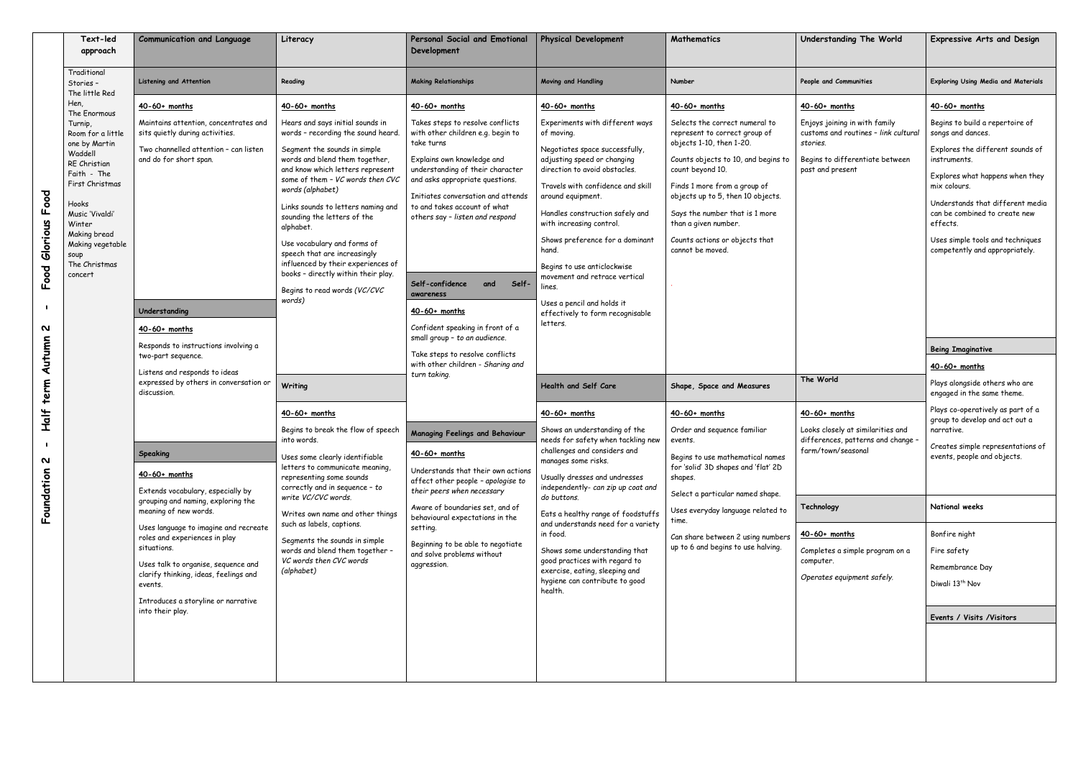| Text-led<br>approach                                                                                                                                                                                                                                       | <b>Communication and Language</b>                                                                                                                                                                                                                                                                                                                                                                                                                                                                                                                                                                                                                                                                                                | Literacy                                                                                                                                                                                                                                                                                                                                                                                                                                                                                                                                                                                                                                                                                                                                                                                                                                                                                                                                | <b>Personal Social and Emotional</b><br>Development                                                                                                                                                                                                                                                                                                                                                                                                                                                                                                                                                                                                                                                                                                                                                                                                                   | <b>Physical Development</b>                                                                                                                                                                                                                                                                                                                                                                                                                                                                                                                                                                                                                                                                                                                                                                                                                                                                                                                                                          | Mathematics                                                                                                                                                                                                                                                                                                                                                                                                                                                                                                                                                                                                                                                                              | Understanding The World                                                                                                                                                                                                                                                                                                                                                                | <b>Expressive Arts and Design</b>                                                                                                                                                                                                                                                                                                                                                                                                                                                                                                                                                                                                                                                              |
|------------------------------------------------------------------------------------------------------------------------------------------------------------------------------------------------------------------------------------------------------------|----------------------------------------------------------------------------------------------------------------------------------------------------------------------------------------------------------------------------------------------------------------------------------------------------------------------------------------------------------------------------------------------------------------------------------------------------------------------------------------------------------------------------------------------------------------------------------------------------------------------------------------------------------------------------------------------------------------------------------|-----------------------------------------------------------------------------------------------------------------------------------------------------------------------------------------------------------------------------------------------------------------------------------------------------------------------------------------------------------------------------------------------------------------------------------------------------------------------------------------------------------------------------------------------------------------------------------------------------------------------------------------------------------------------------------------------------------------------------------------------------------------------------------------------------------------------------------------------------------------------------------------------------------------------------------------|-----------------------------------------------------------------------------------------------------------------------------------------------------------------------------------------------------------------------------------------------------------------------------------------------------------------------------------------------------------------------------------------------------------------------------------------------------------------------------------------------------------------------------------------------------------------------------------------------------------------------------------------------------------------------------------------------------------------------------------------------------------------------------------------------------------------------------------------------------------------------|--------------------------------------------------------------------------------------------------------------------------------------------------------------------------------------------------------------------------------------------------------------------------------------------------------------------------------------------------------------------------------------------------------------------------------------------------------------------------------------------------------------------------------------------------------------------------------------------------------------------------------------------------------------------------------------------------------------------------------------------------------------------------------------------------------------------------------------------------------------------------------------------------------------------------------------------------------------------------------------|------------------------------------------------------------------------------------------------------------------------------------------------------------------------------------------------------------------------------------------------------------------------------------------------------------------------------------------------------------------------------------------------------------------------------------------------------------------------------------------------------------------------------------------------------------------------------------------------------------------------------------------------------------------------------------------|----------------------------------------------------------------------------------------------------------------------------------------------------------------------------------------------------------------------------------------------------------------------------------------------------------------------------------------------------------------------------------------|------------------------------------------------------------------------------------------------------------------------------------------------------------------------------------------------------------------------------------------------------------------------------------------------------------------------------------------------------------------------------------------------------------------------------------------------------------------------------------------------------------------------------------------------------------------------------------------------------------------------------------------------------------------------------------------------|
| Traditional<br>Stories -                                                                                                                                                                                                                                   | Listening and Attention                                                                                                                                                                                                                                                                                                                                                                                                                                                                                                                                                                                                                                                                                                          | Reading                                                                                                                                                                                                                                                                                                                                                                                                                                                                                                                                                                                                                                                                                                                                                                                                                                                                                                                                 | <b>Making Relationships</b>                                                                                                                                                                                                                                                                                                                                                                                                                                                                                                                                                                                                                                                                                                                                                                                                                                           | <b>Moving and Handling</b>                                                                                                                                                                                                                                                                                                                                                                                                                                                                                                                                                                                                                                                                                                                                                                                                                                                                                                                                                           | Number                                                                                                                                                                                                                                                                                                                                                                                                                                                                                                                                                                                                                                                                                   | People and Communities                                                                                                                                                                                                                                                                                                                                                                 | <b>Exploring Using Media and Materials</b>                                                                                                                                                                                                                                                                                                                                                                                                                                                                                                                                                                                                                                                     |
| Hen.                                                                                                                                                                                                                                                       | $40-60+$ months                                                                                                                                                                                                                                                                                                                                                                                                                                                                                                                                                                                                                                                                                                                  | $40-60+$ months                                                                                                                                                                                                                                                                                                                                                                                                                                                                                                                                                                                                                                                                                                                                                                                                                                                                                                                         | $40-60+$ months                                                                                                                                                                                                                                                                                                                                                                                                                                                                                                                                                                                                                                                                                                                                                                                                                                                       | $40-60+$ months                                                                                                                                                                                                                                                                                                                                                                                                                                                                                                                                                                                                                                                                                                                                                                                                                                                                                                                                                                      | $40-60+$ months                                                                                                                                                                                                                                                                                                                                                                                                                                                                                                                                                                                                                                                                          | $40-60+$ months                                                                                                                                                                                                                                                                                                                                                                        | $40-60+$ months                                                                                                                                                                                                                                                                                                                                                                                                                                                                                                                                                                                                                                                                                |
| The little Red<br>The Enormous<br>Turnip,<br>Room for a little<br>one by Martin<br>Waddell<br>RE Christian<br>Faith - The<br>First Christmas<br>Hooks<br>Music 'Vivaldi'<br>Winter<br>Making bread<br>Making vegetable<br>soup<br>The Christmas<br>concert | Maintains attention, concentrates and<br>sits quietly during activities.<br>Two channelled attention - can listen<br>and do for short span.<br>Understanding<br>$40-60+$ months<br>Responds to instructions involving a<br>two-part sequence.<br>Listens and responds to ideas<br>expressed by others in conversation or<br>discussion.<br><b>Speaking</b><br>$40-60+$ months<br>Extends vocabulary, especially by<br>grouping and naming, exploring the<br>meaning of new words.<br>Uses language to imagine and recreate<br>roles and experiences in play<br>situations.<br>Uses talk to organise, sequence and<br>clarify thinking, ideas, feelings and<br>events.<br>Introduces a storyline or narrative<br>into their play. | Hears and says initial sounds in<br>words - recording the sound heard.<br>Segment the sounds in simple<br>words and blend them together,<br>and know which letters represent<br>some of them - VC words then CVC<br>words (alphabet)<br>Links sounds to letters naming and<br>sounding the letters of the<br>alphabet.<br>Use vocabulary and forms of<br>speech that are increasingly<br>influenced by their experiences of<br>books - directly within their play.<br>Begins to read words (VC/CVC<br>words)<br>Writing<br>$40-60+$ months<br>Begins to break the flow of speech<br>into words.<br>Uses some clearly identifiable<br>letters to communicate meaning,<br>representing some sounds<br>correctly and in sequence - to<br>write VC/CVC words.<br>Writes own name and other things<br>such as labels, captions.<br>Segments the sounds in simple<br>words and blend them together -<br>VC words then CVC words<br>(alphabet) | Takes steps to resolve conflicts<br>with other children e.g. begin to<br>take turns<br>Explains own knowledge and<br>understanding of their character<br>and asks appropriate questions.<br>Initiates conversation and attends<br>to and takes account of what<br>others say - listen and respond<br>Self-confidence<br>and<br>Self-<br>awareness<br>$40-60+$ months<br>Confident speaking in front of a<br>small group - to an audience.<br>Take steps to resolve conflicts<br>with other children - Sharing and<br>turn taking.<br>Managing Feelings and Behaviour<br>$40-60+$ months<br>Understands that their own actions<br>affect other people - apologise to<br>their peers when necessary<br>Aware of boundaries set, and of<br>behavioural expectations in the<br>setting.<br>Beginning to be able to negotiate<br>and solve problems without<br>aggression. | Experiments with different ways<br>of moving.<br>Negotiates space successfully,<br>adjusting speed or changing<br>direction to avoid obstacles.<br>Travels with confidence and skill<br>around equipment.<br>Handles construction safely and<br>with increasing control.<br>Shows preference for a dominant<br>hand.<br>Begins to use anticlockwise<br>movement and retrace vertical<br>lines.<br>Uses a pencil and holds it<br>effectively to form recognisable<br>letters.<br>Health and Self Care<br>$40-60+$ months<br>Shows an understanding of the<br>needs for safety when tackling new<br>challenges and considers and<br>manages some risks.<br>Usually dresses and undresses<br>independently- can zip up coat and<br>do buttons.<br>Eats a healthy range of foodstuffs<br>and understands need for a variety<br>in food.<br>Shows some understanding that<br>good practices with regard to<br>exercise, eating, sleeping and<br>hygiene can contribute to good<br>health. | Selects the correct numeral to<br>represent to correct group of<br>objects 1-10, then 1-20.<br>Counts objects to 10, and begins to<br>count beyond 10.<br>Finds 1 more from a group of<br>objects up to 5, then 10 objects.<br>Says the number that is 1 more<br>than a given number.<br>Counts actions or objects that<br>cannot be moved.<br>Shape, Space and Measures<br>$40-60+$ months<br>Order and sequence familiar<br>events.<br>Begins to use mathematical names<br>for 'solid' 3D shapes and 'flat' 2D<br>shapes.<br>Select a particular named shape.<br>Uses everyday language related to<br>time.<br>Can share between 2 using numbers<br>up to 6 and begins to use halving. | Enjoys joining in with family<br>customs and routines - link cultural<br>stories.<br>Begins to differentiate between<br>past and present<br>The World<br>$40-60+$ months<br>Looks closely at similarities and<br>differences, patterns and change<br>farm/town/seasonal<br>Technology<br>$40-60+$ months<br>Completes a simple program on a<br>computer.<br>Operates equipment safely. | Begins to build a repertoire of<br>songs and dances.<br>Explores the different sounds of<br>instruments.<br>Explores what happens when they<br>mix colours.<br>Understands that different media<br>can be combined to create new<br>effects.<br>Uses simple tools and techniques<br>competently and appropriately.<br><b>Being Imaginative</b><br>$40-60+$ months<br>Plays alongside others who are<br>engaged in the same theme.<br>Plays co-operatively as part of a<br>group to develop and act out a<br>narrative.<br>Creates simple representations of<br>events, people and objects.<br>National weeks<br>Bonfire night<br>Fire safety<br>Remembrance Day<br>Diwali 13 <sup>th</sup> Nov |
|                                                                                                                                                                                                                                                            |                                                                                                                                                                                                                                                                                                                                                                                                                                                                                                                                                                                                                                                                                                                                  |                                                                                                                                                                                                                                                                                                                                                                                                                                                                                                                                                                                                                                                                                                                                                                                                                                                                                                                                         |                                                                                                                                                                                                                                                                                                                                                                                                                                                                                                                                                                                                                                                                                                                                                                                                                                                                       |                                                                                                                                                                                                                                                                                                                                                                                                                                                                                                                                                                                                                                                                                                                                                                                                                                                                                                                                                                                      |                                                                                                                                                                                                                                                                                                                                                                                                                                                                                                                                                                                                                                                                                          |                                                                                                                                                                                                                                                                                                                                                                                        | Events / Visits / Visitors                                                                                                                                                                                                                                                                                                                                                                                                                                                                                                                                                                                                                                                                     |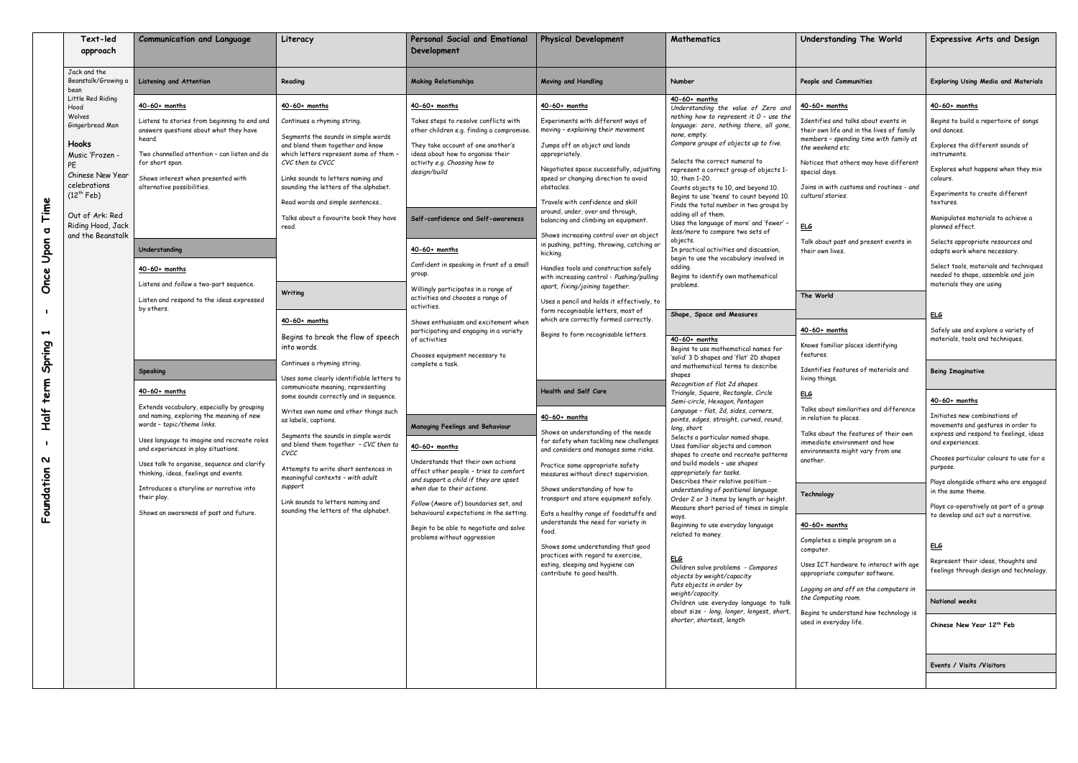| Text-led<br>approach                                                                                                                                                                                                                                                                                                               | <b>Communication and Language</b>                                                                                                                                                                                                                                                                                                                                                                                                                                                                                                                                                                                                                                                                                                                                                                                                                 | Literacy                                                                                                                                                                                                                                                                                                                                                                                                                                                                                                                                                                                                                                                                                                                                                                                                                                                                                                                                 | <b>Personal Social and Emotional</b><br>Development                                                                                                                                                                                                                                                                                                                                                                                                                                                                                                                                                                                                                                                                                                                                                                                                                                                                                                                                 | <b>Physical Development</b>                                                                                                                                                                                                                                                                                                                                                                                                                                                                                                                                                                                                                                                                                                                                                                                                                                                                                                                                                                                                                                                                                                                                                                                                                                                                                                              | Mathematics                                                                                                                                                                                                                                                                                                                                                                                                                                                                                                                                                                                                                                                                                                                                                                                                                                                                                                                                                                                                                                                                                                                                                                                                                                                                                                                                                                                                                                                                                                                                                                                                                                                                                                                                                                                      | Understanding The World                                                                                                                                                                                                                                                                                                                                                                                                                                                                                                                                                                                                                                                                                                                                                                                                                                                                                                                                                                                                        | <b>Expressive Arts and Design</b>                                                                                                                                                                                                                                                                                                                                                                                                                                                                                                                                                                                                                                                                                                                                                                                                                                                                                                                                                                                                                                                                                          |
|------------------------------------------------------------------------------------------------------------------------------------------------------------------------------------------------------------------------------------------------------------------------------------------------------------------------------------|---------------------------------------------------------------------------------------------------------------------------------------------------------------------------------------------------------------------------------------------------------------------------------------------------------------------------------------------------------------------------------------------------------------------------------------------------------------------------------------------------------------------------------------------------------------------------------------------------------------------------------------------------------------------------------------------------------------------------------------------------------------------------------------------------------------------------------------------------|------------------------------------------------------------------------------------------------------------------------------------------------------------------------------------------------------------------------------------------------------------------------------------------------------------------------------------------------------------------------------------------------------------------------------------------------------------------------------------------------------------------------------------------------------------------------------------------------------------------------------------------------------------------------------------------------------------------------------------------------------------------------------------------------------------------------------------------------------------------------------------------------------------------------------------------|-------------------------------------------------------------------------------------------------------------------------------------------------------------------------------------------------------------------------------------------------------------------------------------------------------------------------------------------------------------------------------------------------------------------------------------------------------------------------------------------------------------------------------------------------------------------------------------------------------------------------------------------------------------------------------------------------------------------------------------------------------------------------------------------------------------------------------------------------------------------------------------------------------------------------------------------------------------------------------------|------------------------------------------------------------------------------------------------------------------------------------------------------------------------------------------------------------------------------------------------------------------------------------------------------------------------------------------------------------------------------------------------------------------------------------------------------------------------------------------------------------------------------------------------------------------------------------------------------------------------------------------------------------------------------------------------------------------------------------------------------------------------------------------------------------------------------------------------------------------------------------------------------------------------------------------------------------------------------------------------------------------------------------------------------------------------------------------------------------------------------------------------------------------------------------------------------------------------------------------------------------------------------------------------------------------------------------------|--------------------------------------------------------------------------------------------------------------------------------------------------------------------------------------------------------------------------------------------------------------------------------------------------------------------------------------------------------------------------------------------------------------------------------------------------------------------------------------------------------------------------------------------------------------------------------------------------------------------------------------------------------------------------------------------------------------------------------------------------------------------------------------------------------------------------------------------------------------------------------------------------------------------------------------------------------------------------------------------------------------------------------------------------------------------------------------------------------------------------------------------------------------------------------------------------------------------------------------------------------------------------------------------------------------------------------------------------------------------------------------------------------------------------------------------------------------------------------------------------------------------------------------------------------------------------------------------------------------------------------------------------------------------------------------------------------------------------------------------------------------------------------------------------|--------------------------------------------------------------------------------------------------------------------------------------------------------------------------------------------------------------------------------------------------------------------------------------------------------------------------------------------------------------------------------------------------------------------------------------------------------------------------------------------------------------------------------------------------------------------------------------------------------------------------------------------------------------------------------------------------------------------------------------------------------------------------------------------------------------------------------------------------------------------------------------------------------------------------------------------------------------------------------------------------------------------------------|----------------------------------------------------------------------------------------------------------------------------------------------------------------------------------------------------------------------------------------------------------------------------------------------------------------------------------------------------------------------------------------------------------------------------------------------------------------------------------------------------------------------------------------------------------------------------------------------------------------------------------------------------------------------------------------------------------------------------------------------------------------------------------------------------------------------------------------------------------------------------------------------------------------------------------------------------------------------------------------------------------------------------------------------------------------------------------------------------------------------------|
| Jack and the<br>Beanstalk/Growing a<br>bean                                                                                                                                                                                                                                                                                        | <b>Listening and Attention</b>                                                                                                                                                                                                                                                                                                                                                                                                                                                                                                                                                                                                                                                                                                                                                                                                                    | Reading                                                                                                                                                                                                                                                                                                                                                                                                                                                                                                                                                                                                                                                                                                                                                                                                                                                                                                                                  | <b>Making Relationships</b>                                                                                                                                                                                                                                                                                                                                                                                                                                                                                                                                                                                                                                                                                                                                                                                                                                                                                                                                                         | <b>Moving and Handling</b>                                                                                                                                                                                                                                                                                                                                                                                                                                                                                                                                                                                                                                                                                                                                                                                                                                                                                                                                                                                                                                                                                                                                                                                                                                                                                                               | Number                                                                                                                                                                                                                                                                                                                                                                                                                                                                                                                                                                                                                                                                                                                                                                                                                                                                                                                                                                                                                                                                                                                                                                                                                                                                                                                                                                                                                                                                                                                                                                                                                                                                                                                                                                                           | People and Communities                                                                                                                                                                                                                                                                                                                                                                                                                                                                                                                                                                                                                                                                                                                                                                                                                                                                                                                                                                                                         | <b>Exploring Using Media and Materials</b>                                                                                                                                                                                                                                                                                                                                                                                                                                                                                                                                                                                                                                                                                                                                                                                                                                                                                                                                                                                                                                                                                 |
| Little Red Riding<br>Hood<br>Wolves<br>Gingerbread Man<br><b>Hooks</b><br>Music 'Frozen<br>PE<br>Chinese New Year<br>celebrations<br>$(12^{th}$ Feb)<br>Time<br>Out of Ark: Red<br>Riding Hood, Jack<br>$\sigma$<br>and the Beanstalk<br>Upon<br>Once<br>$\blacktriangleright$<br>Spring<br>term<br><b>Half</b><br>N<br>Foundation | 40-60+ months<br>Listens to stories from beginning to end and<br>answers questions about what they have<br>heard.<br>Two channelled attention – can listen and do<br>for short span.<br>Shows interest when presented with<br>alternative possibilities.<br>Understanding<br>40-60+ months<br>Listens and follow a two-part sequence.<br>Listen and respond to the ideas expressed<br>by others.<br><b>Speaking</b><br>$40-60+$ months<br>Extends vocabulary, especially by grouping<br>and naming, exploring the meaning of new<br>words - topic/theme links.<br>Uses language to imagine and recreate roles<br>and experiences in play situations.<br>Uses talk to organise, sequence and clarify<br>thinking, ideas, feelings and events.<br>Introduces a storyline or narrative into<br>their play.<br>Shows an awareness of past and future. | $40-60+$ months<br>Continues a rhyming string.<br>Segments the sounds in simple words<br>and blend them together and know<br>which letters represent some of them -<br>CVC then to CVCC<br>Links sounds to letters naming and<br>sounding the letters of the alphabet.<br>Read words and simple sentences<br>Talks about a favourite book they have<br>read<br>Writing<br>$40-60+$ months<br>Begins to break the flow of speech<br>into words.<br>Continues a rhyming string.<br>Uses some clearly identifiable letters to<br>communicate meaning, representing<br>some sounds correctly and in sequence.<br>Writes own name and other things such<br>as labels, captions.<br>Segments the sounds in simple words<br>and blend them together $-CVC$ then to<br>CVCC<br>Attempts to write short sentences in<br>meaningful contexts - with adult<br>support<br>Link sounds to letters naming and<br>sounding the letters of the alphabet. | $40-60+$ months<br>Takes steps to resolve conflicts with<br>other children e.g. finding a compromise.<br>They take account of one another's<br>ideas about how to organise their<br>activity e.g. Choosing how to<br>design/build<br>Self-confidence and Self-awareness<br>$40-60+$ months<br>Confident in speaking in front of a small<br>group.<br>Willingly participates in a range of<br>activities and chooses a range of<br>activities.<br>Shows enthusiasm and excitement when<br>participating and engaging in a variety<br>of activities<br>Chooses equipment necessary to<br>complete a task.<br>Managing Feelings and Behaviour<br>$40-60+$ months<br>Understands that their own actions<br>affect other people - tries to comfort<br>and support a child if they are upset<br>when due to their actions.<br>Follow (Aware of) boundaries set, and<br>behavioural expectations in the setting.<br>Begin to be able to negotiate and solve<br>problems without aggression | $40-60+$ months<br>Experiments with different ways of<br>moving - explaining their movement<br>Jumps off an object and lands<br>appropriately.<br>Negotiates space successfully, adjusting<br>speed or changing direction to avoid<br>obstacles.<br>Travels with confidence and skill<br>around, under, over and through,<br>balancing and climbing on equipment.<br>Shows increasing control over an object<br>in pushing, patting, throwing, catching or<br>kicking.<br>Handles tools and construction safely<br>with increasing control - Pushing/pulling<br>apart, fixing/joining together.<br>Uses a pencil and holds it effectively, to<br>form recognisable letters, most of<br>which are correctly formed correctly.<br>Begins to form recognisable letters.<br>Health and Self Care<br>$40-60+$ months<br>Shows an understanding of the needs<br>for safety when fackling new challenges<br>and considers and manages some risks.<br>Practice some appropriate safety<br>measures without direct supervision.<br>Shows understanding of how to<br>transport and store equipment safely.<br>Eats a healthy range of foodstuffs and<br>understands the need for variety in<br>food.<br>Shows some understanding that good<br>practices with regard to exercise,<br>eating, sleeping and hygiene can<br>contribute to good health. | $40-60+$ months<br>Understanding the value of Zero and<br>nothing how to represent it $0$ - use the<br>language: zero, nothing there, all gone,<br>none, empty.<br>Compare groups of objects up to five.<br>Selects the correct numeral to<br>represent a correct group of objects 1-<br>10, then 1-20.<br>Counts objects to 10, and beyond 10.<br>Begins to use 'teens' to count beyond 10.<br>Finds the total number in two groups by<br>adding all of them.<br>Uses the language of more' and 'fewer' -<br>less/more to compare two sets of<br>objects.<br>In practical activities and discussion,<br>begin to use the vocabulary involved in<br>adding.<br>Begins to identify own mathematical<br>problems.<br>Shape, Space and Measures<br>$40-60+$ months<br>Begins to use mathematical names for<br>'solid' 3 D shapes and 'flat' 2D shapes<br>and mathematical terms to describe<br>shapes<br>Recognition of flat 2d shapes.<br>Triangle, Square, Rectangle, Circle<br>Semi-circle, Hexagon, Pentagon<br>Language - flat, 2d, sides, corners,<br>points, edges, straight, curved, round,<br>long, short<br>Selects a particular named shape.<br>Uses familiar objects and common<br>shapes to create and recreate patterns<br>and build models - use shapes<br>appropriately for tasks.<br>Describes their relative position -<br>understanding of positional language.<br>Order 2 or 3 items by length or height.<br>Measure short period of times in simple<br>ways.<br>Beginning to use everyday language<br>related to money.<br><u>ELG</u><br>Children solve problems - Compares<br>objects by weight/capacity<br>Puts objects in order by<br>weight/capacity.<br>Children use everyday language to talk<br>about size - long, longer, longest, short,<br>shorter, shortest, length | $40-60+$ months<br>Identifies and talks about events in<br>their own life and in the lives of family<br>members - spending time with family at<br>the weekend etc<br>Notices that others may have different<br>special days.<br>Joins in with customs and routines - and<br>cultural stories.<br>E L G<br>Talk about past and present events in<br>their own lives.<br>The World<br>$40-60+$ months<br>Knows familiar places identifying<br>features.<br>Identifies features of materials and<br>living things.<br><u>ELG</u><br>Talks about similarities and difference<br>in relation to places.<br>Talks about the features of their own<br>immediate environment and how<br>environments might vary from one<br>another.<br>Technology<br>$40-60+$ months<br>Completes a simple program on a<br>computer.<br>Uses ICT hardware to interact with age<br>appropriate computer software.<br>Logging on and off on the computers in<br>the Computing room.<br>Begins to understand how technology is<br>used in everyday life. | $40-60+$ months<br>Begins to build a repertoire of songs<br>and dances.<br>Explores the different sounds of<br>instruments.<br>Explores what happens when they mix<br>colours.<br>Experiments to create different<br>textures.<br>Manipulates materials to achieve a<br>planned effect.<br>Selects appropriate resources and<br>adapts work where necessary.<br>Select tools, materials and techniques<br>needed to shape, assemble and join<br>materials they are using<br><b>ELG</b><br>Safely use and explore a variety of<br>materials, tools and techniques.<br>Being Imaginative<br>$40-60+$ months<br>Initiates new combinations of<br>movements and gestures in order to<br>express and respond to feelings, idea:<br>and experiences.<br>Chooses particular colours to use for<br>purpose.<br>Plays alongside others who are engage<br>in the same theme.<br>Plays co-operatively as part of a group<br>to develop and act out a narrative.<br>E L G<br>Represent their ideas, thoughts and<br>feelings through design and technolog<br>National weeks<br>Chinese New Year 12th Feb<br>Events / Visits / Visitors |

| Understanding The World                                                                                                     | <b>Expressive Arts and Design</b>                                                                        |  |  |  |  |
|-----------------------------------------------------------------------------------------------------------------------------|----------------------------------------------------------------------------------------------------------|--|--|--|--|
| People and Communities                                                                                                      | <b>Exploring Using Media and Materials</b>                                                               |  |  |  |  |
| <u>40-60+ months</u>                                                                                                        | <u>40-60+ months</u>                                                                                     |  |  |  |  |
| Identifies and talks about events in<br>their own life and in the lives of family<br>members - spending time with family at | Begins to build a repertoire of songs<br>and dances.                                                     |  |  |  |  |
| the weekend etc                                                                                                             | Explores the different sounds of<br>instruments.                                                         |  |  |  |  |
| Notices that others may have different<br>special days.                                                                     | Explores what happens when they mix<br>colours.                                                          |  |  |  |  |
| Joins in with customs and routines - and<br>cultural stories.                                                               | Experiments to create different<br>textures.                                                             |  |  |  |  |
| ELG                                                                                                                         | Manipulates materials to achieve a<br>planned effect.                                                    |  |  |  |  |
| Talk about past and present events in<br>their own lives.                                                                   | Selects appropriate resources and<br>adapts work where necessary.                                        |  |  |  |  |
|                                                                                                                             | Select tools, materials and techniques<br>needed to shape, assemble and join<br>materials they are using |  |  |  |  |
| The World                                                                                                                   |                                                                                                          |  |  |  |  |
|                                                                                                                             | ELG                                                                                                      |  |  |  |  |
| <u>40-60+ months</u>                                                                                                        | Safely use and explore a variety of                                                                      |  |  |  |  |
| Knows familiar places identifying<br>features.                                                                              | materials, tools and techniques.                                                                         |  |  |  |  |
| Identifies features of materials and<br>living things.                                                                      | <b>Being Imaginative</b>                                                                                 |  |  |  |  |
| ELG                                                                                                                         | 40-60+ months                                                                                            |  |  |  |  |
| Talks about similarities and difference<br>in relation to places.                                                           | Initiates new combinations of<br>movements and gestures in order to                                      |  |  |  |  |
| Talks about the features of their own<br>immediate environment and how                                                      | express and respond to feelings, ideas<br>and experiences.                                               |  |  |  |  |
| environments might vary from one<br>another.                                                                                | Chooses particular colours to use for a<br>purpose.                                                      |  |  |  |  |
| Technology                                                                                                                  | Plays alongside others who are engaged<br>in the same theme.                                             |  |  |  |  |
|                                                                                                                             | Plays co-operatively as part of a group<br>to develop and act out a narrative.                           |  |  |  |  |
| <u>40-60+ months</u>                                                                                                        |                                                                                                          |  |  |  |  |
| Completes a simple program on a<br>computer.                                                                                | ELG                                                                                                      |  |  |  |  |
| Uses ICT hardware to interact with age<br>appropriate computer software.                                                    | Represent their ideas, thoughts and<br>feelings through design and technology.                           |  |  |  |  |
| Logging on and off on the computers in<br>the Computing room.                                                               | National weeks                                                                                           |  |  |  |  |
| Begins to understand how technology is                                                                                      |                                                                                                          |  |  |  |  |
| used in everyday life.                                                                                                      | Chinese New Year 12th Feb                                                                                |  |  |  |  |
|                                                                                                                             | Events / Visits / Visitors                                                                               |  |  |  |  |
|                                                                                                                             |                                                                                                          |  |  |  |  |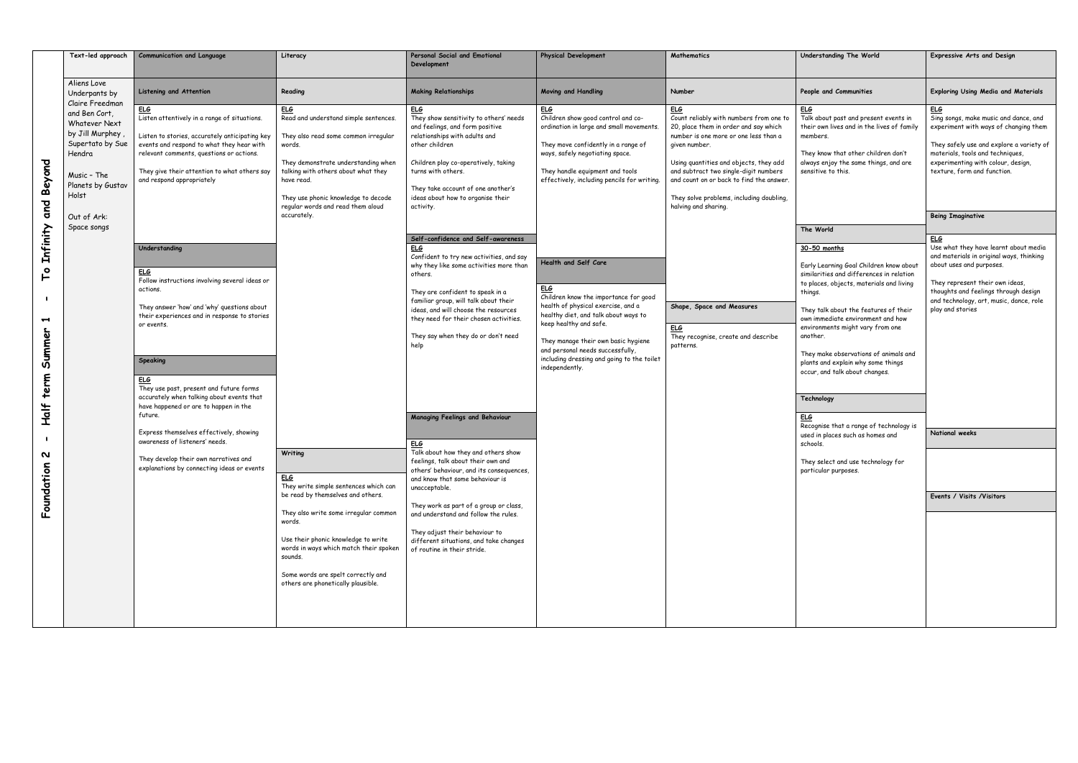|                                                                                                                                                                                                       | Text-led approach                                                                                                                                                                                                                                                                  | <b>Communication and Language</b>                                                                                                                                                                                                                                                                          | Literacy                                                                                                                                                                                                                                                                                                                       | Personal Social and Emotional<br>Development                                                                                                                                                                                                                                                                                                                                                                                   | <b>Physical Development</b>                                                                                                                                                                                                                                                                                                                                 | <b>Mathematics</b>                                                                                                                                                                                                               | Understanding The World                                                                                                                                                                                                                                                                                                                                                                                                 | <b>Expressive Arts and Design</b>                                                                                                                                                                                                                             |
|-------------------------------------------------------------------------------------------------------------------------------------------------------------------------------------------------------|------------------------------------------------------------------------------------------------------------------------------------------------------------------------------------------------------------------------------------------------------------------------------------|------------------------------------------------------------------------------------------------------------------------------------------------------------------------------------------------------------------------------------------------------------------------------------------------------------|--------------------------------------------------------------------------------------------------------------------------------------------------------------------------------------------------------------------------------------------------------------------------------------------------------------------------------|--------------------------------------------------------------------------------------------------------------------------------------------------------------------------------------------------------------------------------------------------------------------------------------------------------------------------------------------------------------------------------------------------------------------------------|-------------------------------------------------------------------------------------------------------------------------------------------------------------------------------------------------------------------------------------------------------------------------------------------------------------------------------------------------------------|----------------------------------------------------------------------------------------------------------------------------------------------------------------------------------------------------------------------------------|-------------------------------------------------------------------------------------------------------------------------------------------------------------------------------------------------------------------------------------------------------------------------------------------------------------------------------------------------------------------------------------------------------------------------|---------------------------------------------------------------------------------------------------------------------------------------------------------------------------------------------------------------------------------------------------------------|
|                                                                                                                                                                                                       | Aliens Love<br>Underpants by                                                                                                                                                                                                                                                       | <b>Listening and Attention</b>                                                                                                                                                                                                                                                                             | Reading                                                                                                                                                                                                                                                                                                                        | <b>Making Relationships</b>                                                                                                                                                                                                                                                                                                                                                                                                    | <b>Moving and Handling</b>                                                                                                                                                                                                                                                                                                                                  | Number                                                                                                                                                                                                                           | People and Communities                                                                                                                                                                                                                                                                                                                                                                                                  | <b>Exploring Using Media and Materials</b>                                                                                                                                                                                                                    |
| Claire Freedman<br>and Ben Cort,<br><b>Whatever Next</b><br>by Jill Murphey<br>Supertato by Sue<br>Hendra<br>Beyond<br>Music - The<br>Planets by Gustav<br>Holst<br>and<br>Out of Ark:<br>Space songs | <u>ELG</u><br>Listen attentively in a range of situations.<br>Listen to stories, accurately anticipating key<br>events and respond to what they hear with<br>relevant comments, questions or actions.<br>They give their attention to what others say<br>and respond appropriately | <u>ELG</u><br>Read and understand simple sentences.<br>They also read some common irregular<br>words.<br>They demonstrate understanding when<br>talking with others about what they<br>have read.<br>They use phonic knowledge to decode<br>regular words and read them aloud<br>accurately.               | <u>ELG</u><br>They show sensitivity to others' needs<br>and feelings, and form positive<br>relationships with adults and<br>other children<br>Children play co-operatively, taking<br>turns with others.<br>They take account of one another's<br>ideas about how to organise their<br>activity.                               | ELG<br>Children show good control and co-<br>ordination in large and small movements.<br>They move confidently in a range of<br>ways, safely negotiating space.<br>They handle equipment and tools<br>effectively, including pencils for writing.                                                                                                                                                                              | <b>ELG</b><br>Count reliably with numbers from one to<br>20, place them in order and say which<br>number is one more or one less than a<br>given number.<br>Using quantities and objects, they add<br>and subtract two single-digit numbers<br>and count on or back to find the answer.<br>They solve problems, including doubling,<br>halving and sharing. | <b>ELG</b><br>Talk about past and present events in<br>their own lives and in the lives of family<br>members.<br>They know that other children don't<br>always enjoy the same things, and are<br>sensitive to this.<br>The World | ELG<br>Sing songs, make music and dance, and<br>experiment with ways of changing the<br>They safely use and explore a variety<br>materials, tools and techniques,<br>experimenting with colour, design,<br>texture, form and function.<br><b>Being Imaginative</b>                                                                                                                                                      |                                                                                                                                                                                                                                                               |
| Infinity<br>$\overline{\phantom{a}}$<br>$\blacktriangleright$<br>Summer<br>term                                                                                                                       |                                                                                                                                                                                                                                                                                    | Understanding<br>ELG<br>Follow instructions involving several ideas or<br>actions.<br>They answer 'how' and 'why' questions about<br>their experiences and in response to stories<br>or events.<br>Speaking<br>ELG<br>They use past, present and future forms<br>accurately when talking about events that |                                                                                                                                                                                                                                                                                                                                | Self-confidence and Self-awareness<br><b>ELG</b><br>Confident to try new activities, and say<br>why they like some activities more than<br>others.<br>They are confident to speak in a<br>familiar group, will talk about their<br>ideas, and will choose the resources<br>they need for their chosen activities.<br>They say when they do or don't need<br>help                                                               | Health and Self Care<br>ELG<br>Children know the importance for good<br>health of physical exercise, and a<br>healthy diet, and talk about ways to<br>keep healthy and safe.<br>They manage their own basic hygiene<br>and personal needs successfully,<br>including dressing and going to the toilet<br>independently.                                     | Shape, Space and Measures<br><u>ELG</u><br>They recognise, create and describe<br>patterns.                                                                                                                                      | 30-50 months<br>Early Learning Goal Children know about<br>similarities and differences in relation<br>to places, objects, materials and living<br>things.<br>They talk about the features of their<br>own immediate environment and how<br>environments might vary from one<br>another.<br>They make observations of animals and<br>plants and explain why some things<br>occur, and talk about changes.<br>Technology | ELG<br>Use what they have learnt about medi<br>and materials in original ways, thinking<br>about uses and purposes.<br>They represent their own ideas,<br>thoughts and feelings through design<br>and technology, art, music, dance, role<br>play and stories |
| <b>Half</b><br>໙<br>Foundation                                                                                                                                                                        |                                                                                                                                                                                                                                                                                    | have happened or are to happen in the<br>future.<br>Express themselves effectively, showing<br>awareness of listeners' needs.<br>They develop their own narratives and<br>explanations by connecting ideas or events                                                                                       | Writing<br><u>ELG</u><br>They write simple sentences which can<br>be read by themselves and others.<br>They also write some irregular common<br>words.<br>Use their phonic knowledge to write<br>words in ways which match their spoken<br>sounds.<br>Some words are spelt correctly and<br>others are phonetically plausible. | <b>Managing Feelings and Behaviour</b><br><u>ELG</u><br>Talk about how they and others show<br>feelings, talk about their own and<br>others' behaviour, and its consequences,<br>and know that some behaviour is<br>unacceptable.<br>They work as part of a group or class,<br>and understand and follow the rules.<br>They adjust their behaviour to<br>different situations, and take changes<br>of routine in their stride. |                                                                                                                                                                                                                                                                                                                                                             |                                                                                                                                                                                                                                  | <b>ELG</b><br>Recognise that a range of technology is<br>used in places such as homes and<br>schools.<br>They select and use technology for<br>particular purposes.                                                                                                                                                                                                                                                     | National weeks<br>Events / Visits / Visitors                                                                                                                                                                                                                  |

| Understanding The World                                                                                                                                                                                                                                                                                                                                                                                                 | <b>Expressive Arts and Design</b>                                                                                                                                                                                                                              |
|-------------------------------------------------------------------------------------------------------------------------------------------------------------------------------------------------------------------------------------------------------------------------------------------------------------------------------------------------------------------------------------------------------------------------|----------------------------------------------------------------------------------------------------------------------------------------------------------------------------------------------------------------------------------------------------------------|
| People and Communities                                                                                                                                                                                                                                                                                                                                                                                                  | <b>Exploring Using Media and Materials</b>                                                                                                                                                                                                                     |
| ELG<br>Talk about past and present events in<br>their own lives and in the lives of family<br>members.<br>They know that other children don't<br>always enjoy the same things, and are<br>sensitive to this.                                                                                                                                                                                                            | ELG<br>Sing songs, make music and dance, and<br>experiment with ways of changing them<br>They safely use and explore a variety of<br>materials, tools and techniques,<br>experimenting with colour, design,<br>texture, form and function.                     |
|                                                                                                                                                                                                                                                                                                                                                                                                                         | <b>Being Imaginative</b>                                                                                                                                                                                                                                       |
| The World                                                                                                                                                                                                                                                                                                                                                                                                               |                                                                                                                                                                                                                                                                |
| 30-50 months<br>Early Learning Goal Children know about<br>similarities and differences in relation<br>to places, objects, materials and living<br>things.<br>They talk about the features of their<br>own immediate environment and how<br>environments might vary from one<br>another.<br>They make observations of animals and<br>plants and explain why some things<br>occur, and talk about changes.<br>Technology | ELG<br>Use what they have learnt about media<br>and materials in original ways, thinking<br>about uses and purposes.<br>They represent their own ideas,<br>thoughts and feelings through design<br>and technology, art, music, dance, role<br>play and stories |
| ELG<br>Recognise that a range of technology is<br>used in places such as homes and                                                                                                                                                                                                                                                                                                                                      | National weeks                                                                                                                                                                                                                                                 |
| schools.<br>They select and use technology for<br>particular purposes.                                                                                                                                                                                                                                                                                                                                                  | Events / Visits / Visitors                                                                                                                                                                                                                                     |
|                                                                                                                                                                                                                                                                                                                                                                                                                         |                                                                                                                                                                                                                                                                |